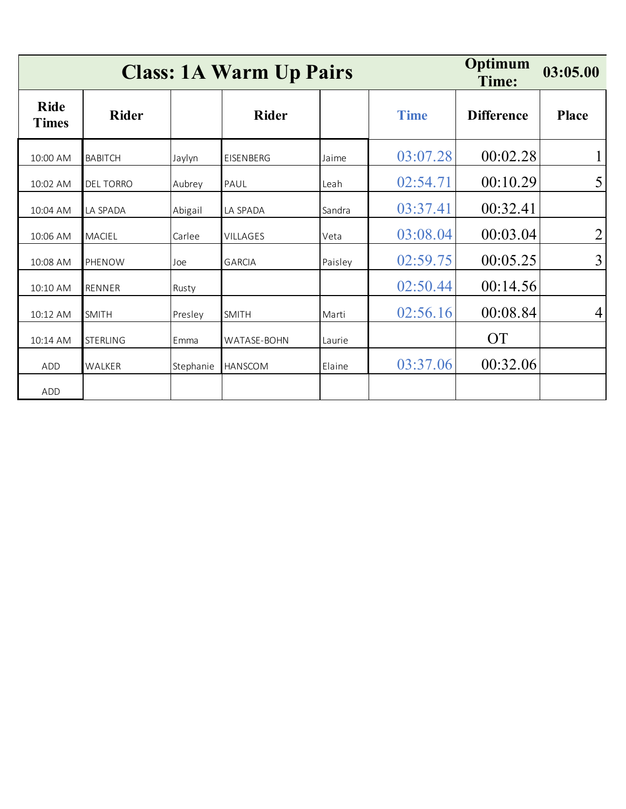|                             | <b>Class: 1A Warm Up Pairs</b> | Optimum<br>Time: | 03:05.00         |         |             |                   |                |
|-----------------------------|--------------------------------|------------------|------------------|---------|-------------|-------------------|----------------|
| <b>Ride</b><br><b>Times</b> | <b>Rider</b>                   |                  | <b>Rider</b>     |         | <b>Time</b> | <b>Difference</b> | <b>Place</b>   |
| 10:00 AM                    | <b>BABITCH</b>                 | Jaylyn           | <b>EISENBERG</b> | Jaime   | 03:07.28    | 00:02.28          | $\mathbf{1}$   |
| 10:02 AM                    | <b>DEL TORRO</b>               | Aubrey           | PAUL             | Leah    | 02:54.71    | 00:10.29          | 5              |
| 10:04 AM                    | LA SPADA                       | Abigail          | LA SPADA         | Sandra  | 03:37.41    | 00:32.41          |                |
| 10:06 AM                    | <b>MACIEL</b>                  | Carlee           | <b>VILLAGES</b>  | Veta    | 03:08.04    | 00:03.04          | $\overline{2}$ |
| 10:08 AM                    | PHENOW                         | Joe              | <b>GARCIA</b>    | Paisley | 02:59.75    | 00:05.25          | $\mathfrak{Z}$ |
| 10:10 AM                    | <b>RENNER</b>                  | Rusty            |                  |         | 02:50.44    | 00:14.56          |                |
| 10:12 AM                    | <b>SMITH</b>                   | Presley          | <b>SMITH</b>     | Marti   | 02:56.16    | 00:08.84          | $\overline{4}$ |
| 10:14 AM                    | <b>STERLING</b>                | Emma             | WATASE-BOHN      | Laurie  |             | <b>OT</b>         |                |
| ADD                         | WALKER                         | Stephanie        | <b>HANSCOM</b>   | Elaine  | 03:37.06    | 00:32.06          |                |
| ADD                         |                                |                  |                  |         |             |                   |                |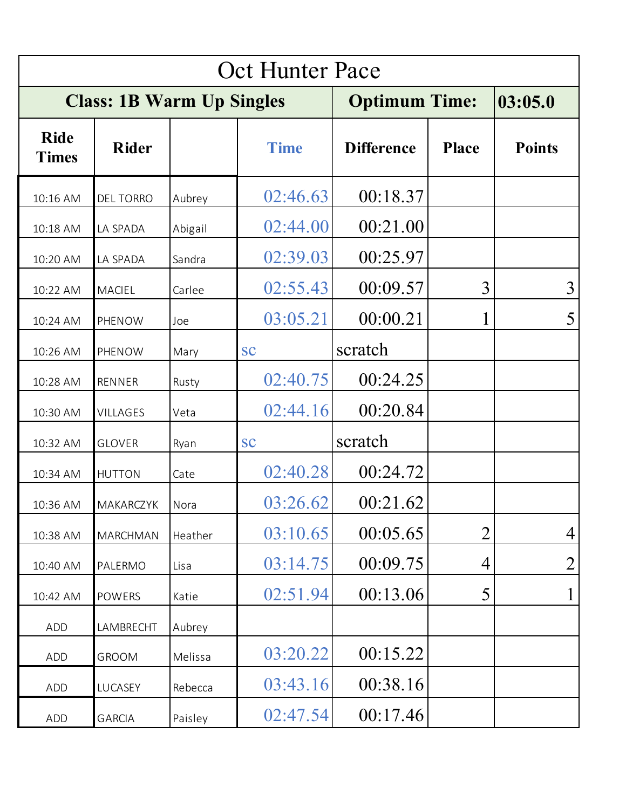| <b>Oct Hunter Pace</b>      |                                  |         |             |                      |                |                |  |  |  |
|-----------------------------|----------------------------------|---------|-------------|----------------------|----------------|----------------|--|--|--|
|                             | <b>Class: 1B Warm Up Singles</b> |         |             | <b>Optimum Time:</b> |                | 03:05.0        |  |  |  |
| <b>Ride</b><br><b>Times</b> | <b>Rider</b>                     |         | <b>Time</b> | <b>Difference</b>    | <b>Place</b>   | <b>Points</b>  |  |  |  |
| 10:16 AM                    | <b>DEL TORRO</b>                 | Aubrey  | 02:46.63    | 00:18.37             |                |                |  |  |  |
| 10:18 AM                    | LA SPADA                         | Abigail | 02:44.00    | 00:21.00             |                |                |  |  |  |
| 10:20 AM                    | LA SPADA                         | Sandra  | 02:39.03    | 00:25.97             |                |                |  |  |  |
| 10:22 AM                    | <b>MACIEL</b>                    | Carlee  | 02:55.43    | 00:09.57             | 3              | 3              |  |  |  |
| 10:24 AM                    | PHENOW                           | Joe     | 03:05.21    | 00:00.21             | 1              | 5              |  |  |  |
| 10:26 AM                    | PHENOW                           | Mary    | <b>SC</b>   | scratch              |                |                |  |  |  |
| 10:28 AM                    | <b>RENNER</b>                    | Rusty   | 02:40.75    | 00:24.25             |                |                |  |  |  |
| 10:30 AM                    | <b>VILLAGES</b>                  | Veta    | 02:44.16    | 00:20.84             |                |                |  |  |  |
| 10:32 AM                    | <b>GLOVER</b>                    | Ryan    | <b>SC</b>   | scratch              |                |                |  |  |  |
| 10:34 AM                    | <b>HUTTON</b>                    | Cate    | 02:40.28    | 00:24.72             |                |                |  |  |  |
| 10:36 AM                    | <b>MAKARCZYK</b>                 | Nora    | 03:26.62    | 00:21.62             |                |                |  |  |  |
| 10:38 AM                    | <b>MARCHMAN</b>                  | Heather | 03:10.65    | 00:05.65             | $\overline{2}$ | 4              |  |  |  |
| 10:40 AM                    | PALERMO                          | Lisa    | 03:14.75    | 00:09.75             | 4              | $\overline{2}$ |  |  |  |
| 10:42 AM                    | <b>POWERS</b>                    | Katie   | 02:51.94    | 00:13.06             | 5              | $\mathbf 1$    |  |  |  |
| ADD                         | LAMBRECHT                        | Aubrey  |             |                      |                |                |  |  |  |
| <b>ADD</b>                  | <b>GROOM</b>                     | Melissa | 03:20.22    | 00:15.22             |                |                |  |  |  |
| <b>ADD</b>                  | LUCASEY                          | Rebecca | 03:43.16    | 00:38.16             |                |                |  |  |  |
| ADD                         | <b>GARCIA</b>                    | Paisley | 02:47.54    | 00:17.46             |                |                |  |  |  |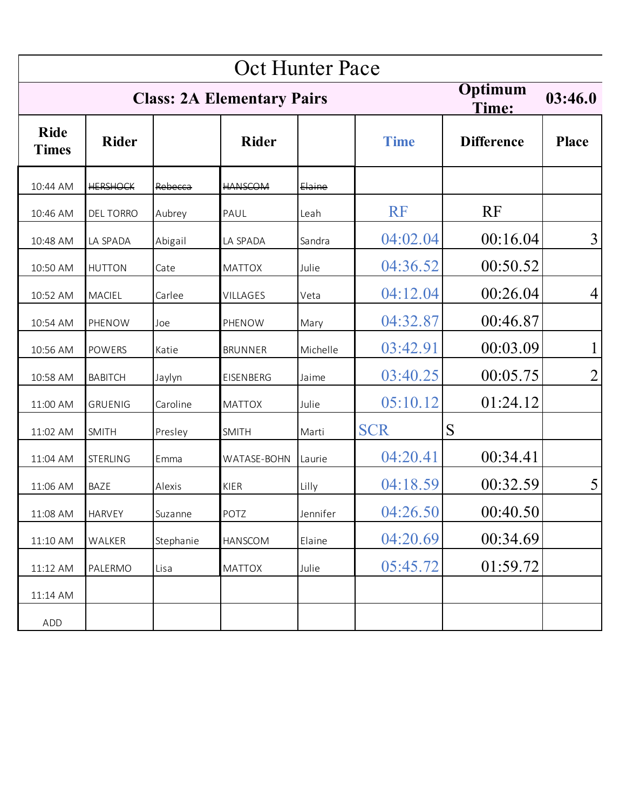| <b>Oct Hunter Pace</b>      |                                   |                  |                |          |             |                   |                |  |
|-----------------------------|-----------------------------------|------------------|----------------|----------|-------------|-------------------|----------------|--|
|                             | <b>Class: 2A Elementary Pairs</b> | Optimum<br>Time: | 03:46.0        |          |             |                   |                |  |
| <b>Ride</b><br><b>Times</b> | <b>Rider</b>                      |                  | <b>Rider</b>   |          | <b>Time</b> | <b>Difference</b> | <b>Place</b>   |  |
| 10:44 AM                    | <b>HERSHOCK</b>                   | Rebecca          | <b>HANSCOM</b> | Elaine   |             |                   |                |  |
| 10:46 AM                    | <b>DEL TORRO</b>                  | Aubrey           | PAUL           | Leah     | <b>RF</b>   | <b>RF</b>         |                |  |
| 10:48 AM                    | LA SPADA                          | Abigail          | LA SPADA       | Sandra   | 04:02.04    | 00:16.04          | 3              |  |
| 10:50 AM                    | <b>HUTTON</b>                     | Cate             | <b>MATTOX</b>  | Julie    | 04:36.52    | 00:50.52          |                |  |
| 10:52 AM                    | <b>MACIEL</b>                     | Carlee           | VILLAGES       | Veta     | 04:12.04    | 00:26.04          | $\overline{4}$ |  |
| 10:54 AM                    | PHENOW                            | Joe              | PHENOW         | Mary     | 04:32.87    | 00:46.87          |                |  |
| 10:56 AM                    | <b>POWERS</b>                     | Katie            | <b>BRUNNER</b> | Michelle | 03:42.91    | 00:03.09          | $\mathbf{1}$   |  |
| 10:58 AM                    | <b>BABITCH</b>                    | Jaylyn           | EISENBERG      | Jaime    | 03:40.25    | 00:05.75          | $\overline{2}$ |  |
| 11:00 AM                    | <b>GRUENIG</b>                    | Caroline         | <b>MATTOX</b>  | Julie    | 05:10.12    | 01:24.12          |                |  |
| 11:02 AM                    | <b>SMITH</b>                      | Presley          | <b>SMITH</b>   | Marti    | <b>SCR</b>  | S                 |                |  |
| 11:04 AM                    | <b>STERLING</b>                   | Emma             | WATASE-BOHN    | Laurie   | 04:20.41    | 00:34.41          |                |  |
| 11:06 AM                    | <b>BAZE</b>                       | Alexis           | <b>KIER</b>    | Lilly    | 04:18.59    | 00:32.59          | 5              |  |
| 11:08 AM                    | <b>HARVEY</b>                     | Suzanne          | POTZ           | Jennifer | 04:26.50    | 00:40.50          |                |  |
| 11:10 AM                    | WALKER                            | Stephanie        | <b>HANSCOM</b> | Elaine   | 04:20.69    | 00:34.69          |                |  |
| 11:12 AM                    | PALERMO                           | Lisa             | <b>MATTOX</b>  | Julie    | 05:45.72    | 01:59.72          |                |  |
| 11:14 AM                    |                                   |                  |                |          |             |                   |                |  |
| ADD                         |                                   |                  |                |          |             |                   |                |  |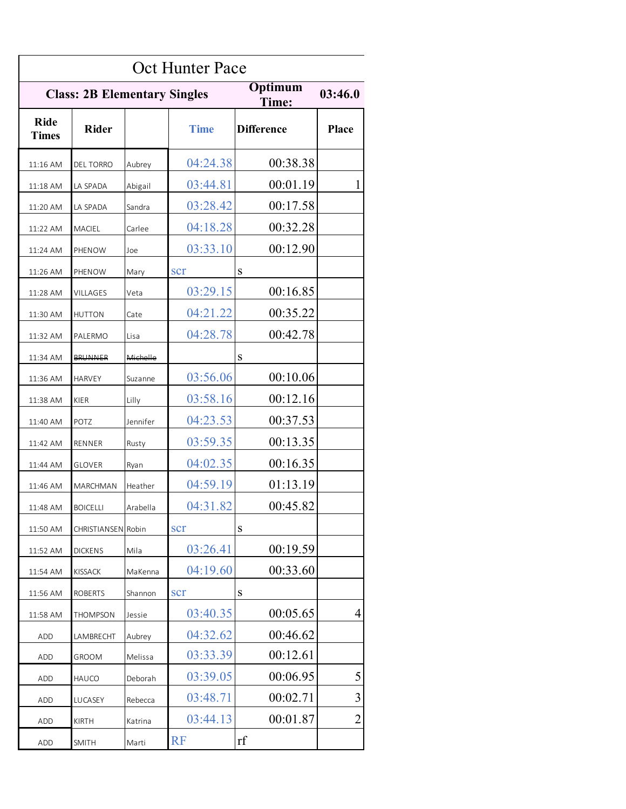| <b>Oct Hunter Pace</b>      |                                     |          |             |                   |                |  |  |  |
|-----------------------------|-------------------------------------|----------|-------------|-------------------|----------------|--|--|--|
|                             | <b>Class: 2B Elementary Singles</b> |          |             | Optimum<br>Time:  | 03:46.0        |  |  |  |
| <b>Ride</b><br><b>Times</b> | <b>Rider</b>                        |          | <b>Time</b> | <b>Difference</b> | Place          |  |  |  |
| 11:16 AM                    | DEL TORRO                           | Aubrey   | 04:24.38    | 00:38.38          |                |  |  |  |
| 11:18 AM                    | LA SPADA                            | Abigail  | 03:44.81    | 00:01.19          | L              |  |  |  |
| 11:20 AM                    | LA SPADA                            | Sandra   | 03:28.42    | 00:17.58          |                |  |  |  |
| 11:22 AM                    | MACIEL                              | Carlee   | 04:18.28    | 00:32.28          |                |  |  |  |
| 11:24 AM                    | PHENOW                              | Joe      | 03:33.10    | 00:12.90          |                |  |  |  |
| 11:26 AM                    | PHENOW                              | Mary     | scr         | S                 |                |  |  |  |
| 11:28 AM                    | VILLAGES                            | Veta     | 03:29.15    | 00:16.85          |                |  |  |  |
| 11:30 AM                    | <b>HUTTON</b>                       | Cate     | 04:21.22    | 00:35.22          |                |  |  |  |
| 11:32 AM                    | PALERMO                             | Lisa     | 04:28.78    | 00:42.78          |                |  |  |  |
| 11:34 AM                    | <b>BRUNNER</b>                      | Michelle |             | S                 |                |  |  |  |
| 11:36 AM                    | <b>HARVEY</b>                       | Suzanne  | 03:56.06    | 00:10.06          |                |  |  |  |
| 11:38 AM                    | KIER                                | Lilly    | 03:58.16    | 00:12.16          |                |  |  |  |
| 11:40 AM                    | POTZ                                | Jennifer | 04:23.53    | 00:37.53          |                |  |  |  |
| 11:42 AM                    | RENNER                              | Rusty    | 03:59.35    | 00:13.35          |                |  |  |  |
| 11:44 AM                    | GLOVER                              | Ryan     | 04:02.35    | 00:16.35          |                |  |  |  |
| 11:46 AM                    | MARCHMAN                            | Heather  | 04:59.19    | 01:13.19          |                |  |  |  |
| 11:48 AM                    | <b>BOICELLI</b>                     | Arabella | 04:31.82    | 00:45.82          |                |  |  |  |
| 11:50 AM                    | CHRISTIANSEN Robin                  |          | scr         | S                 |                |  |  |  |
| 11:52 AM                    | <b>DICKENS</b>                      | Mila     | 03:26.41    | 00:19.59          |                |  |  |  |
| 11:54 AM                    | <b>KISSACK</b>                      | MaKenna  | 04:19.60    | 00:33.60          |                |  |  |  |
| 11:56 AM                    | <b>ROBERTS</b>                      | Shannon  | <b>SCT</b>  | S                 |                |  |  |  |
| 11:58 AM                    | THOMPSON                            | Jessie   | 03:40.35    | 00:05.65          | 4              |  |  |  |
| ADD                         | LAMBRECHT                           | Aubrey   | 04:32.62    | 00:46.62          |                |  |  |  |
| ADD                         | <b>GROOM</b>                        | Melissa  | 03:33.39    | 00:12.61          |                |  |  |  |
| ADD                         | <b>HAUCO</b>                        | Deborah  | 03:39.05    | 00:06.95          | 5              |  |  |  |
| ADD                         | LUCASEY                             | Rebecca  | 03:48.71    | 00:02.71          | 3              |  |  |  |
| ADD                         | <b>KIRTH</b>                        | Katrina  | 03:44.13    | 00:01.87          | $\overline{2}$ |  |  |  |
| ADD                         | <b>SMITH</b>                        | Marti    | <b>RF</b>   | rf                |                |  |  |  |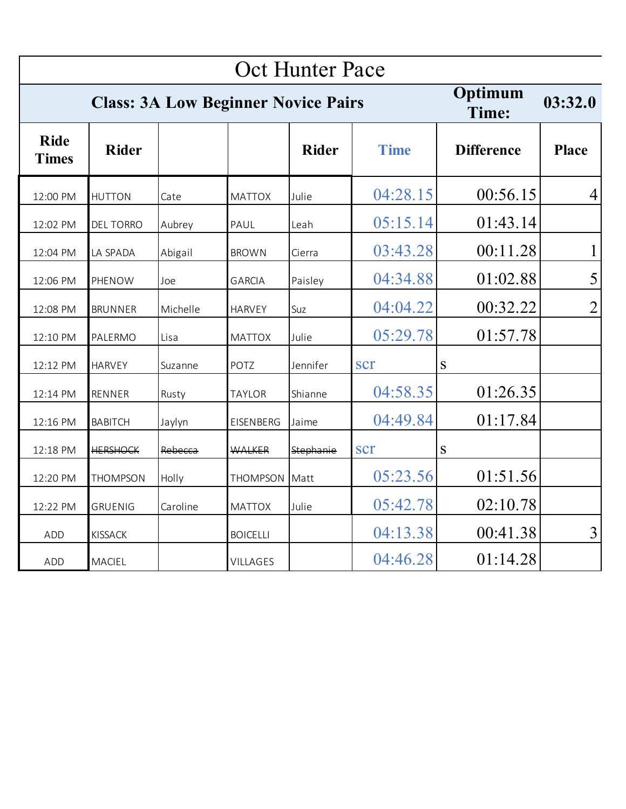| <b>Oct Hunter Pace</b>      |                                            |                  |                 |              |             |                   |                |  |
|-----------------------------|--------------------------------------------|------------------|-----------------|--------------|-------------|-------------------|----------------|--|
|                             | <b>Class: 3A Low Beginner Novice Pairs</b> | Optimum<br>Time: | 03:32.0         |              |             |                   |                |  |
| <b>Ride</b><br><b>Times</b> | <b>Rider</b>                               |                  |                 | <b>Rider</b> | <b>Time</b> | <b>Difference</b> | <b>Place</b>   |  |
| 12:00 PM                    | <b>HUTTON</b>                              | Cate             | <b>MATTOX</b>   | Julie        | 04:28.15    | 00:56.15          | 4              |  |
| 12:02 PM                    | <b>DEL TORRO</b>                           | Aubrey           | PAUL            | Leah         | 05:15.14    | 01:43.14          |                |  |
| 12:04 PM                    | LA SPADA                                   | Abigail          | <b>BROWN</b>    | Cierra       | 03:43.28    | 00:11.28          | 1              |  |
| 12:06 PM                    | PHENOW                                     | Joe              | <b>GARCIA</b>   | Paisley      | 04:34.88    | 01:02.88          | 5              |  |
| 12:08 PM                    | <b>BRUNNER</b>                             | Michelle         | <b>HARVEY</b>   | Suz          | 04:04.22    | 00:32.22          | $\overline{2}$ |  |
| 12:10 PM                    | PALERMO                                    | Lisa             | <b>MATTOX</b>   | Julie        | 05:29.78    | 01:57.78          |                |  |
| 12:12 PM                    | <b>HARVEY</b>                              | Suzanne          | POTZ            | Jennifer     | scr         | S                 |                |  |
| 12:14 PM                    | RENNER                                     | Rusty            | <b>TAYLOR</b>   | Shianne      | 04:58.35    | 01:26.35          |                |  |
| 12:16 PM                    | <b>BABITCH</b>                             | Jaylyn           | EISENBERG       | Jaime        | 04:49.84    | 01:17.84          |                |  |
| 12:18 PM                    | <b>HERSHOCK</b>                            | Rebecca          | <b>WALKER</b>   | Stephanie    | scr         | S                 |                |  |
| 12:20 PM                    | <b>THOMPSON</b>                            | Holly            | THOMPSON        | Matt         | 05:23.56    | 01:51.56          |                |  |
| 12:22 PM                    | <b>GRUENIG</b>                             | Caroline         | <b>MATTOX</b>   | Julie        | 05:42.78    | 02:10.78          |                |  |
| ADD                         | <b>KISSACK</b>                             |                  | <b>BOICELLI</b> |              | 04:13.38    | 00:41.38          | 3              |  |
| <b>ADD</b>                  | <b>MACIEL</b>                              |                  | <b>VILLAGES</b> |              | 04:46.28    | 01:14.28          |                |  |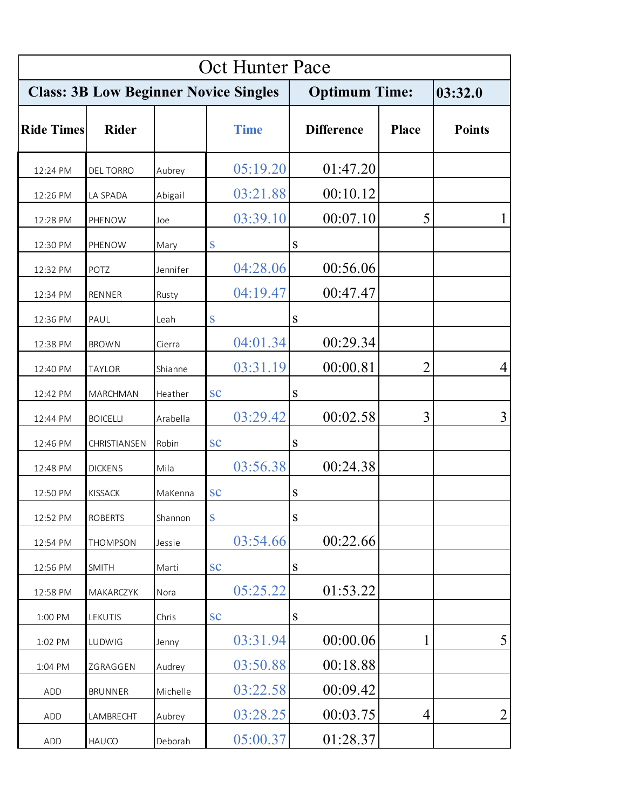| <b>Oct Hunter Pace</b> |                                              |          |           |                      |           |                   |                |                |  |
|------------------------|----------------------------------------------|----------|-----------|----------------------|-----------|-------------------|----------------|----------------|--|
|                        | <b>Class: 3B Low Beginner Novice Singles</b> |          |           | <b>Optimum Time:</b> |           | 03:32.0           |                |                |  |
| <b>Ride Times</b>      | <b>Rider</b>                                 |          |           | <b>Time</b>          |           | <b>Difference</b> | <b>Place</b>   | <b>Points</b>  |  |
| 12:24 PM               | <b>DEL TORRO</b>                             | Aubrey   |           | 05:19.20             |           | 01:47.20          |                |                |  |
| 12:26 PM               | LA SPADA                                     | Abigail  |           | 03:21.88             |           | 00:10.12          |                |                |  |
| 12:28 PM               | PHENOW                                       | Joe      |           | 03:39.10             |           | 00:07.10          | 5              |                |  |
| 12:30 PM               | PHENOW                                       | Mary     | S         |                      | S         |                   |                |                |  |
| 12:32 PM               | POTZ                                         | Jennifer |           | 04:28.06             |           | 00:56.06          |                |                |  |
| 12:34 PM               | <b>RENNER</b>                                | Rusty    |           | 04:19.47             |           | 00:47.47          |                |                |  |
| 12:36 PM               | PAUL                                         | Leah     | S         |                      | S         |                   |                |                |  |
| 12:38 PM               | <b>BROWN</b>                                 | Cierra   |           | 04:01.34             |           | 00:29.34          |                |                |  |
| 12:40 PM               | <b>TAYLOR</b>                                | Shianne  |           | 03:31.19             |           | 00:00.81          | $\overline{2}$ | 4              |  |
| 12:42 PM               | MARCHMAN                                     | Heather  | <b>SC</b> |                      | S         |                   |                |                |  |
| 12:44 PM               | <b>BOICELLI</b>                              | Arabella |           | 03:29.42             |           | 00:02.58          | 3              | 3              |  |
| 12:46 PM               | CHRISTIANSEN                                 | Robin    | <b>SC</b> |                      | S         |                   |                |                |  |
| 12:48 PM               | <b>DICKENS</b>                               | Mila     |           | 03:56.38             |           | 00:24.38          |                |                |  |
| 12:50 PM               | <b>KISSACK</b>                               | MaKenna  | <b>SC</b> |                      | ${\bf S}$ |                   |                |                |  |
| 12:52 PM               | <b>ROBERTS</b>                               | Shannon  | S         |                      | S         |                   |                |                |  |
| 12:54 PM               | <b>THOMPSON</b>                              | Jessie   |           | 03:54.66             |           | 00:22.66          |                |                |  |
| 12:56 PM               | <b>SMITH</b>                                 | Marti    | <b>SC</b> |                      | ${\bf S}$ |                   |                |                |  |
| 12:58 PM               | <b>MAKARCZYK</b>                             | Nora     |           | 05:25.22             |           | 01:53.22          |                |                |  |
| 1:00 PM                | LEKUTIS                                      | Chris    | <b>SC</b> |                      | ${\bf S}$ |                   |                |                |  |
| 1:02 PM                | LUDWIG                                       | Jenny    |           | 03:31.94             |           | 00:00.06          | 1              | 5              |  |
| 1:04 PM                | ZGRAGGEN                                     | Audrey   |           | 03:50.88             |           | 00:18.88          |                |                |  |
| <b>ADD</b>             | <b>BRUNNER</b>                               | Michelle |           | 03:22.58             |           | 00:09.42          |                |                |  |
| ADD                    | LAMBRECHT                                    | Aubrey   |           | 03:28.25             |           | 00:03.75          | 4              | $\overline{2}$ |  |
| ADD                    | <b>HAUCO</b>                                 | Deborah  |           | 05:00.37             |           | 01:28.37          |                |                |  |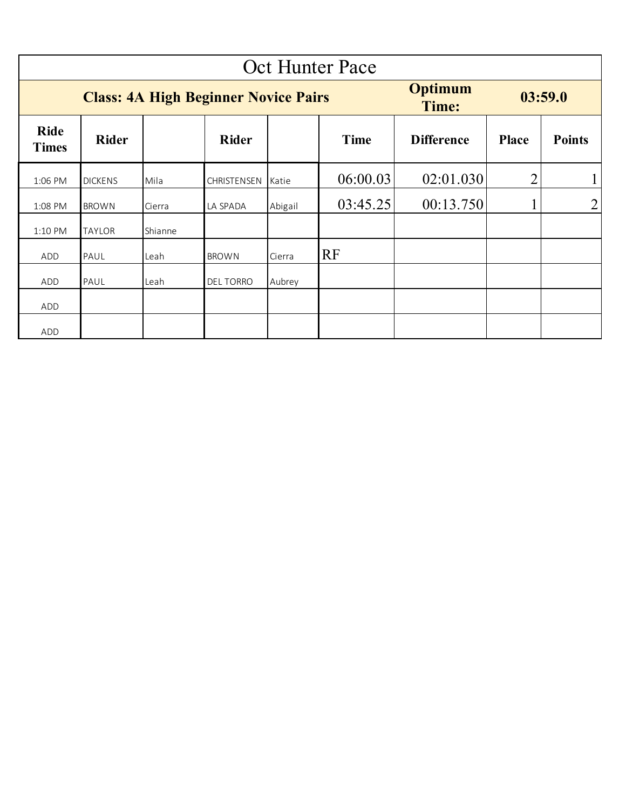|                             | <b>Oct Hunter Pace</b>                      |         |                         |         |             |                   |                |                |  |
|-----------------------------|---------------------------------------------|---------|-------------------------|---------|-------------|-------------------|----------------|----------------|--|
|                             | <b>Class: 4A High Beginner Novice Pairs</b> |         | <b>Optimum</b><br>Time: |         | 03:59.0     |                   |                |                |  |
| <b>Ride</b><br><b>Times</b> | <b>Rider</b>                                |         | <b>Rider</b>            |         | <b>Time</b> | <b>Difference</b> | <b>Place</b>   | <b>Points</b>  |  |
| 1:06 PM                     | <b>DICKENS</b>                              | Mila    | CHRISTENSEN             | Katie   | 06:00.03    | 02:01.030         | $\overline{2}$ |                |  |
| 1:08 PM                     | <b>BROWN</b>                                | Cierra  | LA SPADA                | Abigail | 03:45.25    | 00:13.750         |                | $\overline{2}$ |  |
| 1:10 PM                     | <b>TAYLOR</b>                               | Shianne |                         |         |             |                   |                |                |  |
| ADD                         | PAUL                                        | Leah    | <b>BROWN</b>            | Cierra  | <b>RF</b>   |                   |                |                |  |
| ADD                         | PAUL                                        | Leah    | <b>DEL TORRO</b>        | Aubrey  |             |                   |                |                |  |
| ADD                         |                                             |         |                         |         |             |                   |                |                |  |
| ADD                         |                                             |         |                         |         |             |                   |                |                |  |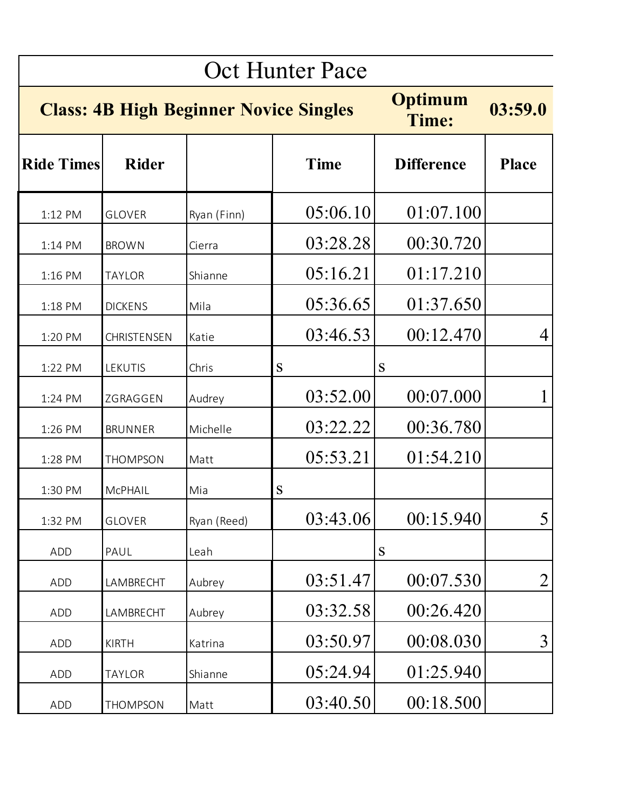| <b>Oct Hunter Pace</b>                                                              |                 |             |             |                   |                |  |  |  |
|-------------------------------------------------------------------------------------|-----------------|-------------|-------------|-------------------|----------------|--|--|--|
| <b>Optimum</b><br><b>Class: 4B High Beginner Novice Singles</b><br>03:59.0<br>Time: |                 |             |             |                   |                |  |  |  |
| <b>Ride Times</b>                                                                   | <b>Rider</b>    |             | <b>Time</b> | <b>Difference</b> | <b>Place</b>   |  |  |  |
| 1:12 PM                                                                             | <b>GLOVER</b>   | Ryan (Finn) | 05:06.10    | 01:07.100         |                |  |  |  |
| 1:14 PM                                                                             | <b>BROWN</b>    | Cierra      | 03:28.28    | 00:30.720         |                |  |  |  |
| 1:16 PM                                                                             | <b>TAYLOR</b>   | Shianne     | 05:16.21    | 01:17.210         |                |  |  |  |
| 1:18 PM                                                                             | <b>DICKENS</b>  | Mila        | 05:36.65    | 01:37.650         |                |  |  |  |
| 1:20 PM                                                                             | CHRISTENSEN     | Katie       | 03:46.53    | 00:12.470         |                |  |  |  |
| 1:22 PM                                                                             | LEKUTIS         | Chris       | S           | S                 |                |  |  |  |
| 1:24 PM                                                                             | ZGRAGGEN        | Audrey      | 03:52.00    | 00:07.000         |                |  |  |  |
| 1:26 PM                                                                             | <b>BRUNNER</b>  | Michelle    | 03:22.22    | 00:36.780         |                |  |  |  |
| 1:28 PM                                                                             | <b>THOMPSON</b> | Matt        | 05:53.21    | 01:54.210         |                |  |  |  |
| 1:30 PM                                                                             | <b>McPHAIL</b>  | Mia         | S           |                   |                |  |  |  |
| 1:32 PM                                                                             | <b>GLOVER</b>   | Ryan (Reed) | 03:43.06    | 00:15.940         | 5              |  |  |  |
| ADD                                                                                 | PAUL            | Leah        |             | S                 |                |  |  |  |
| ADD                                                                                 | LAMBRECHT       | Aubrey      | 03:51.47    | 00:07.530         | $\overline{2}$ |  |  |  |
| <b>ADD</b>                                                                          | LAMBRECHT       | Aubrey      | 03:32.58    | 00:26.420         |                |  |  |  |
| ADD                                                                                 | <b>KIRTH</b>    | Katrina     | 03:50.97    | 00:08.030         | 3              |  |  |  |
| ADD                                                                                 | <b>TAYLOR</b>   | Shianne     | 05:24.94    | 01:25.940         |                |  |  |  |
| ADD                                                                                 | <b>THOMPSON</b> | Matt        | 03:40.50    | 00:18.500         |                |  |  |  |